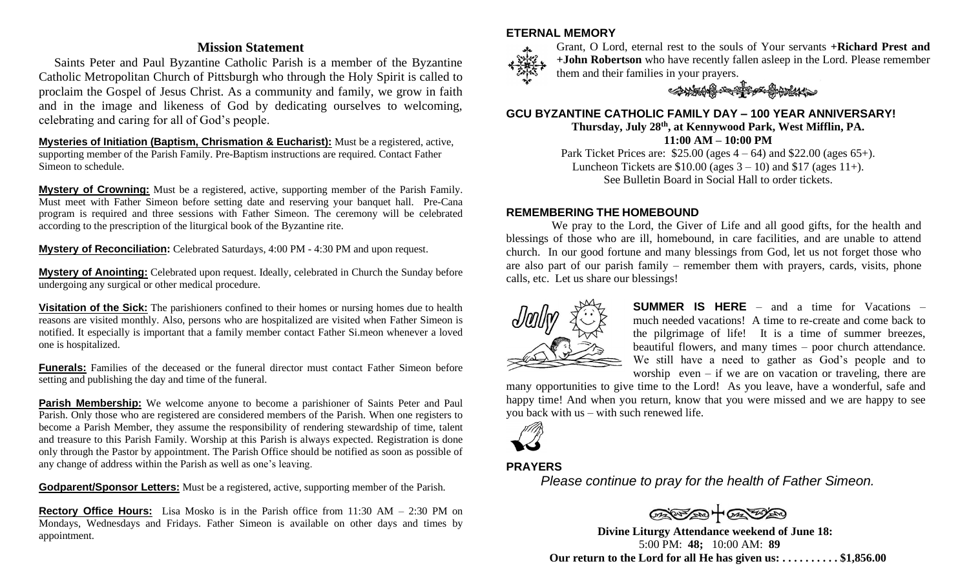## **Mission Statement**

 Saints Peter and Paul Byzantine Catholic Parish is a member of the Byzantine Catholic Metropolitan Church of Pittsburgh who through the Holy Spirit is called to proclaim the Gospel of Jesus Christ. As a community and family, we grow in faith and in the image and likeness of God by dedicating ourselves to welcoming, celebrating and caring for all of God's people.

**Mysteries of Initiation (Baptism, Chrismation & Eucharist):** Must be a registered, active, supporting member of the Parish Family. Pre-Baptism instructions are required. Contact Father Simeon to schedule.

**Mystery of Crowning:** Must be a registered, active, supporting member of the Parish Family. Must meet with Father Simeon before setting date and reserving your banquet hall. Pre-Cana program is required and three sessions with Father Simeon. The ceremony will be celebrated according to the prescription of the liturgical book of the Byzantine rite.

**Mystery of Reconciliation:** Celebrated Saturdays, 4:00 PM - 4:30 PM and upon request.

**Mystery of Anointing:** Celebrated upon request. Ideally, celebrated in Church the Sunday before undergoing any surgical or other medical procedure.

**Visitation of the Sick:** The parishioners confined to their homes or nursing homes due to health reasons are visited monthly. Also, persons who are hospitalized are visited when Father Simeon is notified. It especially is important that a family member contact Father Si.meon whenever a loved one is hospitalized.

**Funerals:** Families of the deceased or the funeral director must contact Father Simeon before setting and publishing the day and time of the funeral.

**Parish Membership:** We welcome anyone to become a parishioner of Saints Peter and Paul Parish. Only those who are registered are considered members of the Parish. When one registers to become a Parish Member, they assume the responsibility of rendering stewardship of time, talent and treasure to this Parish Family. Worship at this Parish is always expected. Registration is done only through the Pastor by appointment. The Parish Office should be notified as soon as possible of any change of address within the Parish as well as one's leaving.

**Godparent/Sponsor Letters:** Must be a registered, active, supporting member of the Parish.

**Rectory Office Hours:** Lisa Mosko is in the Parish office from 11:30 AM – 2:30 PM on Mondays, Wednesdays and Fridays. Father Simeon is available on other days and times by appointment.

#### **ETERNAL MEMORY**



Grant, O Lord, eternal rest to the souls of Your servants **+Richard Prest and +John Robertson** who have recently fallen asleep in the Lord. Please remember them and their families in your prayers.

SHARROW SECT

#### **GCU BYZANTINE CATHOLIC FAMILY DAY – 100 YEAR ANNIVERSARY!**

**Thursday, July 28th, at Kennywood Park, West Mifflin, PA. 11:00 AM – 10:00 PM**

Park Ticket Prices are:  $$25.00$  (ages  $4 - 64$ ) and  $$22.00$  (ages  $65+$ ). Luncheon Tickets are  $$10.00$  (ages  $3 - 10$ ) and  $$17$  (ages  $11+$ ). See Bulletin Board in Social Hall to order tickets.

#### **REMEMBERING THE HOMEBOUND**

 We pray to the Lord, the Giver of Life and all good gifts, for the health and blessings of those who are ill, homebound, in care facilities, and are unable to attend church. In our good fortune and many blessings from God, let us not forget those who are also part of our parish family – remember them with prayers, cards, visits, phone calls, etc. Let us share our blessings!



**SUMMER IS HERE** – and a time for Vacations – much needed vacations! A time to re-create and come back to the pilgrimage of life! It is a time of summer breezes, beautiful flowers, and many times – poor church attendance. We still have a need to gather as God's people and to worship even – if we are on vacation or traveling, there are

many opportunities to give time to the Lord! As you leave, have a wonderful, safe and happy time! And when you return, know that you were missed and we are happy to see you back with us – with such renewed life.



### **PRAYERS**

*Please continue to pray for the health of Father Simeon.* 

**Divine Liturgy Attendance weekend of June 18:** 5:00 PM: **48;** 10:00 AM: **89 Our return to the Lord for all He has given us: . . . . . . . . . . \$1,856.00**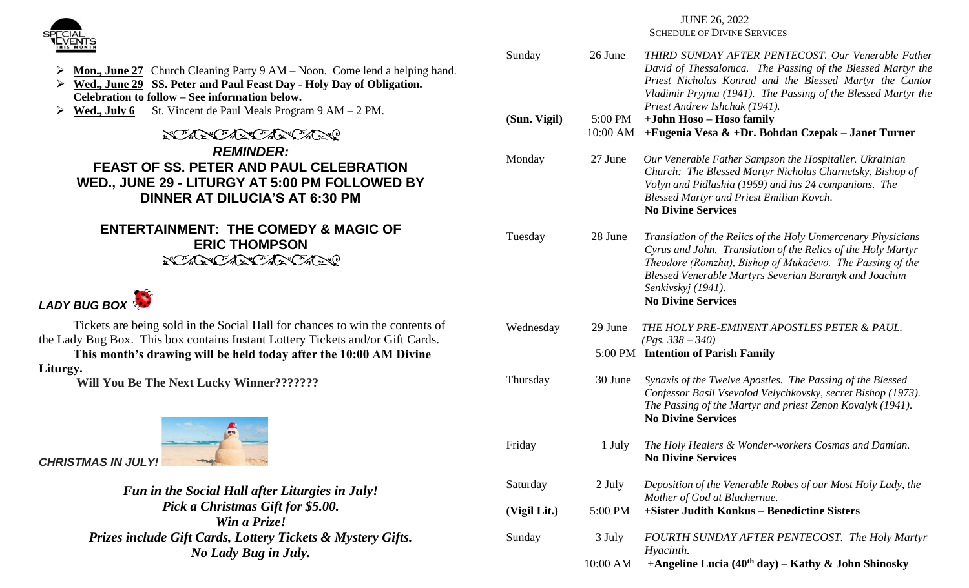

## JUNE 26, 2022

SCHEDULE OF DIVINE SERVICES

| Sunday       | 26 June             | THIRD SUNDAY AFTER PENTECOST. Our Venerable Father<br>David of Thessalonica. The Passing of the Blessed Martyr the<br>Priest Nicholas Konrad and the Blessed Martyr the Cantor<br>Vladimir Pryjma (1941). The Passing of the Blessed Martyr the<br>Priest Andrew Ishchak (1941).                       |
|--------------|---------------------|--------------------------------------------------------------------------------------------------------------------------------------------------------------------------------------------------------------------------------------------------------------------------------------------------------|
| (Sun. Vigil) | 5:00 PM<br>10:00 AM | +John Hoso – Hoso family<br>+Eugenia Vesa & +Dr. Bohdan Czepak – Janet Turner                                                                                                                                                                                                                          |
| Monday       | 27 June             | Our Venerable Father Sampson the Hospitaller. Ukrainian<br>Church: The Blessed Martyr Nicholas Charnetsky, Bishop of<br>Volyn and Pidlashia (1959) and his 24 companions. The<br><b>Blessed Martyr and Priest Emilian Kovch.</b><br><b>No Divine Services</b>                                          |
| Tuesday      | 28 June             | Translation of the Relics of the Holy Unmercenary Physicians<br>Cyrus and John. Translation of the Relics of the Holy Martyr<br>Theodore (Romzha), Bishop of Mukačevo. The Passing of the<br>Blessed Venerable Martyrs Severian Baranyk and Joachim<br>Senkivskyj (1941).<br><b>No Divine Services</b> |
| Wednesday    | 29 June             | THE HOLY PRE-EMINENT APOSTLES PETER & PAUL.<br>$(Pgs. 338 - 340)$<br>5:00 PM Intention of Parish Family                                                                                                                                                                                                |
| Thursday     | 30 June             | Synaxis of the Twelve Apostles. The Passing of the Blessed<br>Confessor Basil Vsevolod Velychkovsky, secret Bishop (1973).<br>The Passing of the Martyr and priest Zenon Kovalyk (1941).<br><b>No Divine Services</b>                                                                                  |
| Friday       | 1 July              | The Holy Healers & Wonder-workers Cosmas and Damian.<br><b>No Divine Services</b>                                                                                                                                                                                                                      |
| Saturday     | 2 July              | Deposition of the Venerable Robes of our Most Holy Lady, the                                                                                                                                                                                                                                           |
| (Vigil Lit.) | 5:00 PM             | Mother of God at Blachernae.<br>+Sister Judith Konkus - Benedictine Sisters                                                                                                                                                                                                                            |
| Sunday       | 3 July              | FOURTH SUNDAY AFTER PENTECOST. The Holy Martyr                                                                                                                                                                                                                                                         |
|              | 10:00 AM            | Hyacinth.<br>+Angeline Lucia (40 <sup>th</sup> day) – Kathy & John Shinosky                                                                                                                                                                                                                            |

**Mon., June 27** Church Cleaning Party 9 AM – Noon. Come lend a helping hand.

- ➢ **Wed., June 29 SS. Peter and Paul Feast Day - Holy Day of Obligation. Celebration to follow – See information below.**
- ➢ **Wed., July 6** St. Vincent de Paul Meals Program 9 AM 2 PM.

**NOWER CARRO ACTIONS** *REMINDER:* **FEAST OF SS. PETER AND PAUL CELEBRATION WED., JUNE 29 - LITURGY AT 5:00 PM FOLLOWED BY DINNER AT DILUCIA'S AT 6:30 PM**

# **ENTERTAINMENT: THE COMEDY & MAGIC OF ERIC THOMPSON NOWER CARRO ACTIONS**



Tickets are being sold in the Social Hall for chances to win the contents of the Lady Bug Box. This box contains Instant Lottery Tickets and/or Gift Cards.

**This month's drawing will be held today after the 10:00 AM Divine Liturgy.**

**Will You Be The Next Lucky Winner???????**



*Fun in the Social Hall after Liturgies in July! Pick a Christmas Gift for \$5.00. Win a Prize! Prizes include Gift Cards, Lottery Tickets & Mystery Gifts. No Lady Bug in July.*